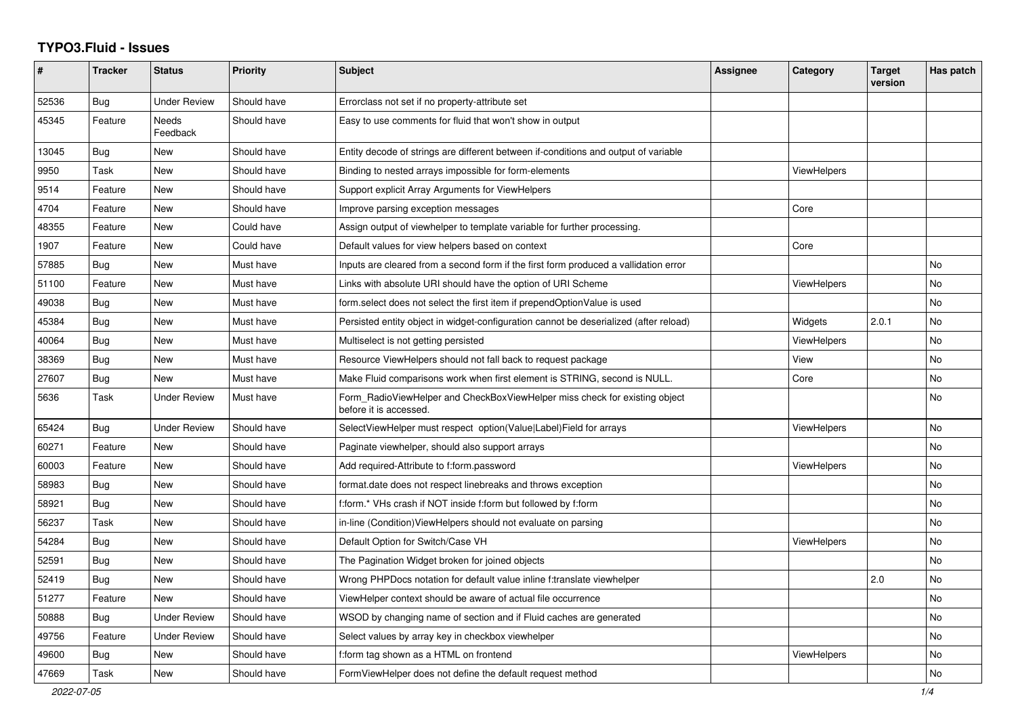## **TYPO3.Fluid - Issues**

| #     | Tracker    | <b>Status</b>            | <b>Priority</b> | Subject                                                                                              | Assignee | Category           | <b>Target</b><br>version | Has patch |
|-------|------------|--------------------------|-----------------|------------------------------------------------------------------------------------------------------|----------|--------------------|--------------------------|-----------|
| 52536 | Bug        | <b>Under Review</b>      | Should have     | Errorclass not set if no property-attribute set                                                      |          |                    |                          |           |
| 45345 | Feature    | <b>Needs</b><br>Feedback | Should have     | Easy to use comments for fluid that won't show in output                                             |          |                    |                          |           |
| 13045 | <b>Bug</b> | <b>New</b>               | Should have     | Entity decode of strings are different between if-conditions and output of variable                  |          |                    |                          |           |
| 9950  | Task       | New                      | Should have     | Binding to nested arrays impossible for form-elements                                                |          | ViewHelpers        |                          |           |
| 9514  | Feature    | New                      | Should have     | Support explicit Array Arguments for ViewHelpers                                                     |          |                    |                          |           |
| 4704  | Feature    | New                      | Should have     | Improve parsing exception messages                                                                   |          | Core               |                          |           |
| 48355 | Feature    | New                      | Could have      | Assign output of viewhelper to template variable for further processing.                             |          |                    |                          |           |
| 1907  | Feature    | New                      | Could have      | Default values for view helpers based on context                                                     |          | Core               |                          |           |
| 57885 | Bug        | <b>New</b>               | Must have       | Inputs are cleared from a second form if the first form produced a vallidation error                 |          |                    |                          | <b>No</b> |
| 51100 | Feature    | New                      | Must have       | Links with absolute URI should have the option of URI Scheme                                         |          | ViewHelpers        |                          | No        |
| 49038 | Bug        | New                      | Must have       | form select does not select the first item if prependOptionValue is used                             |          |                    |                          | No        |
| 45384 | Bug        | <b>New</b>               | Must have       | Persisted entity object in widget-configuration cannot be deserialized (after reload)                |          | Widgets            | 2.0.1                    | <b>No</b> |
| 40064 | Bug        | New                      | Must have       | Multiselect is not getting persisted                                                                 |          | ViewHelpers        |                          | <b>No</b> |
| 38369 | Bug        | New                      | Must have       | Resource ViewHelpers should not fall back to request package                                         |          | View               |                          | No        |
| 27607 | Bug        | New                      | Must have       | Make Fluid comparisons work when first element is STRING, second is NULL.                            |          | Core               |                          | No        |
| 5636  | Task       | <b>Under Review</b>      | Must have       | Form_RadioViewHelper and CheckBoxViewHelper miss check for existing object<br>before it is accessed. |          |                    |                          | <b>No</b> |
| 65424 | Bug        | <b>Under Review</b>      | Should have     | SelectViewHelper must respect option(Value Label)Field for arrays                                    |          | ViewHelpers        |                          | No        |
| 60271 | Feature    | <b>New</b>               | Should have     | Paginate viewhelper, should also support arrays                                                      |          |                    |                          | No        |
| 60003 | Feature    | New                      | Should have     | Add required-Attribute to f:form.password                                                            |          | ViewHelpers        |                          | No        |
| 58983 | Bug        | New                      | Should have     | format.date does not respect linebreaks and throws exception                                         |          |                    |                          | No        |
| 58921 | Bug        | <b>New</b>               | Should have     | f:form.* VHs crash if NOT inside f:form but followed by f:form                                       |          |                    |                          | <b>No</b> |
| 56237 | Task       | <b>New</b>               | Should have     | in-line (Condition) ViewHelpers should not evaluate on parsing                                       |          |                    |                          | <b>No</b> |
| 54284 | Bug        | New                      | Should have     | Default Option for Switch/Case VH                                                                    |          | <b>ViewHelpers</b> |                          | No        |
| 52591 | Bug        | New                      | Should have     | The Pagination Widget broken for joined objects                                                      |          |                    |                          | No        |
| 52419 | <b>Bug</b> | <b>New</b>               | Should have     | Wrong PHPDocs notation for default value inline f:translate viewhelper                               |          |                    | 2.0                      | No        |
| 51277 | Feature    | New                      | Should have     | ViewHelper context should be aware of actual file occurrence                                         |          |                    |                          | No        |
| 50888 | Bug        | <b>Under Review</b>      | Should have     | WSOD by changing name of section and if Fluid caches are generated                                   |          |                    |                          | No        |
| 49756 | Feature    | <b>Under Review</b>      | Should have     | Select values by array key in checkbox viewhelper                                                    |          |                    |                          | No        |
| 49600 | Bug        | New                      | Should have     | f:form tag shown as a HTML on frontend                                                               |          | ViewHelpers        |                          | No        |
| 47669 | Task       | New                      | Should have     | Form View Helper does not define the default request method                                          |          |                    |                          | No        |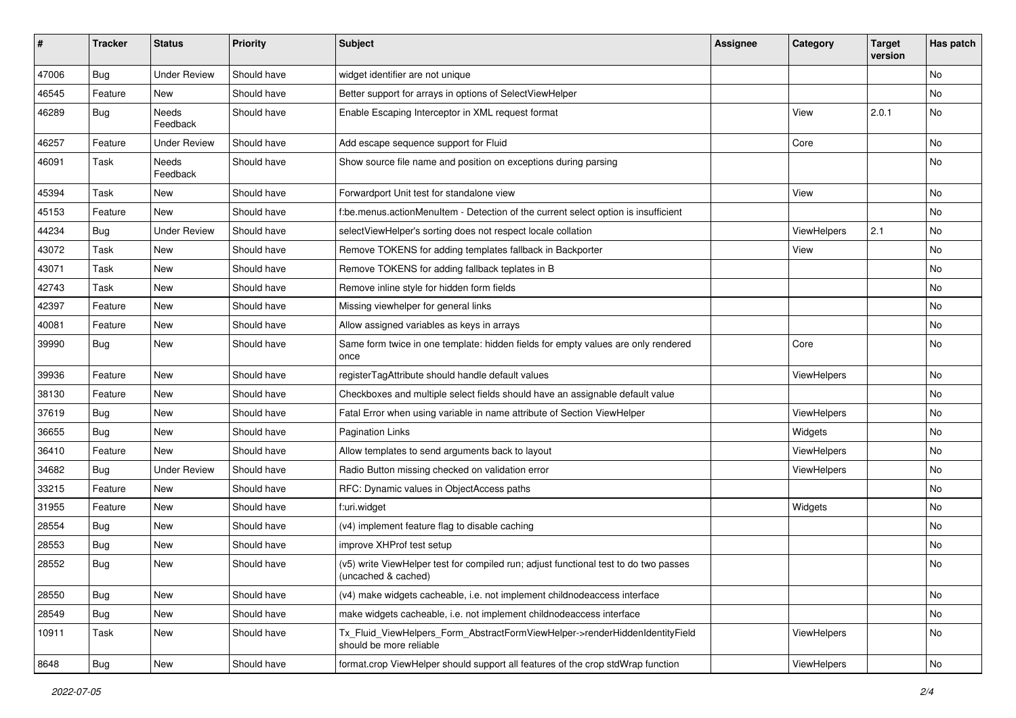| #     | <b>Tracker</b> | <b>Status</b>       | <b>Priority</b> | <b>Subject</b>                                                                                              | <b>Assignee</b> | Category    | <b>Target</b><br>version | Has patch |
|-------|----------------|---------------------|-----------------|-------------------------------------------------------------------------------------------------------------|-----------------|-------------|--------------------------|-----------|
| 47006 | Bug            | <b>Under Review</b> | Should have     | widget identifier are not unique                                                                            |                 |             |                          | <b>No</b> |
| 46545 | Feature        | New                 | Should have     | Better support for arrays in options of SelectViewHelper                                                    |                 |             |                          | No        |
| 46289 | Bug            | Needs<br>Feedback   | Should have     | Enable Escaping Interceptor in XML request format                                                           |                 | View        | 2.0.1                    | No        |
| 46257 | Feature        | <b>Under Review</b> | Should have     | Add escape sequence support for Fluid                                                                       |                 | Core        |                          | No        |
| 46091 | Task           | Needs<br>Feedback   | Should have     | Show source file name and position on exceptions during parsing                                             |                 |             |                          | No        |
| 45394 | Task           | New                 | Should have     | Forwardport Unit test for standalone view                                                                   |                 | View        |                          | No        |
| 45153 | Feature        | New                 | Should have     | f:be.menus.actionMenuItem - Detection of the current select option is insufficient                          |                 |             |                          | No        |
| 44234 | Bug            | <b>Under Review</b> | Should have     | selectViewHelper's sorting does not respect locale collation                                                |                 | ViewHelpers | 2.1                      | No        |
| 43072 | Task           | New                 | Should have     | Remove TOKENS for adding templates fallback in Backporter                                                   |                 | View        |                          | No        |
| 43071 | Task           | New                 | Should have     | Remove TOKENS for adding fallback teplates in B                                                             |                 |             |                          | No        |
| 42743 | Task           | New                 | Should have     | Remove inline style for hidden form fields                                                                  |                 |             |                          | No        |
| 42397 | Feature        | New                 | Should have     | Missing viewhelper for general links                                                                        |                 |             |                          | <b>No</b> |
| 40081 | Feature        | New                 | Should have     | Allow assigned variables as keys in arrays                                                                  |                 |             |                          | No        |
| 39990 | Bug            | New                 | Should have     | Same form twice in one template: hidden fields for empty values are only rendered<br>once                   |                 | Core        |                          | No        |
| 39936 | Feature        | New                 | Should have     | registerTagAttribute should handle default values                                                           |                 | ViewHelpers |                          | No        |
| 38130 | Feature        | New                 | Should have     | Checkboxes and multiple select fields should have an assignable default value                               |                 |             |                          | No        |
| 37619 | Bug            | New                 | Should have     | Fatal Error when using variable in name attribute of Section ViewHelper                                     |                 | ViewHelpers |                          | No        |
| 36655 | Bug            | New                 | Should have     | <b>Pagination Links</b>                                                                                     |                 | Widgets     |                          | No        |
| 36410 | Feature        | New                 | Should have     | Allow templates to send arguments back to layout                                                            |                 | ViewHelpers |                          | No        |
| 34682 | Bug            | <b>Under Review</b> | Should have     | Radio Button missing checked on validation error                                                            |                 | ViewHelpers |                          | No        |
| 33215 | Feature        | New                 | Should have     | RFC: Dynamic values in ObjectAccess paths                                                                   |                 |             |                          | No        |
| 31955 | Feature        | New                 | Should have     | f:uri.widget                                                                                                |                 | Widgets     |                          | No        |
| 28554 | Bug            | New                 | Should have     | (v4) implement feature flag to disable caching                                                              |                 |             |                          | No        |
| 28553 | Bug            | New                 | Should have     | improve XHProf test setup                                                                                   |                 |             |                          | <b>No</b> |
| 28552 | Bug            | New                 | Should have     | (v5) write ViewHelper test for compiled run; adjust functional test to do two passes<br>(uncached & cached) |                 |             |                          | No        |
| 28550 | Bug            | New                 | Should have     | (v4) make widgets cacheable, i.e. not implement childnodeaccess interface                                   |                 |             |                          | No        |
| 28549 | Bug            | New                 | Should have     | make widgets cacheable, i.e. not implement childnodeaccess interface                                        |                 |             |                          | No        |
| 10911 | Task           | New                 | Should have     | Tx_Fluid_ViewHelpers_Form_AbstractFormViewHelper->renderHiddenIdentityField<br>should be more reliable      |                 | ViewHelpers |                          | No        |
| 8648  | Bug            | New                 | Should have     | format.crop ViewHelper should support all features of the crop stdWrap function                             |                 | ViewHelpers |                          | No        |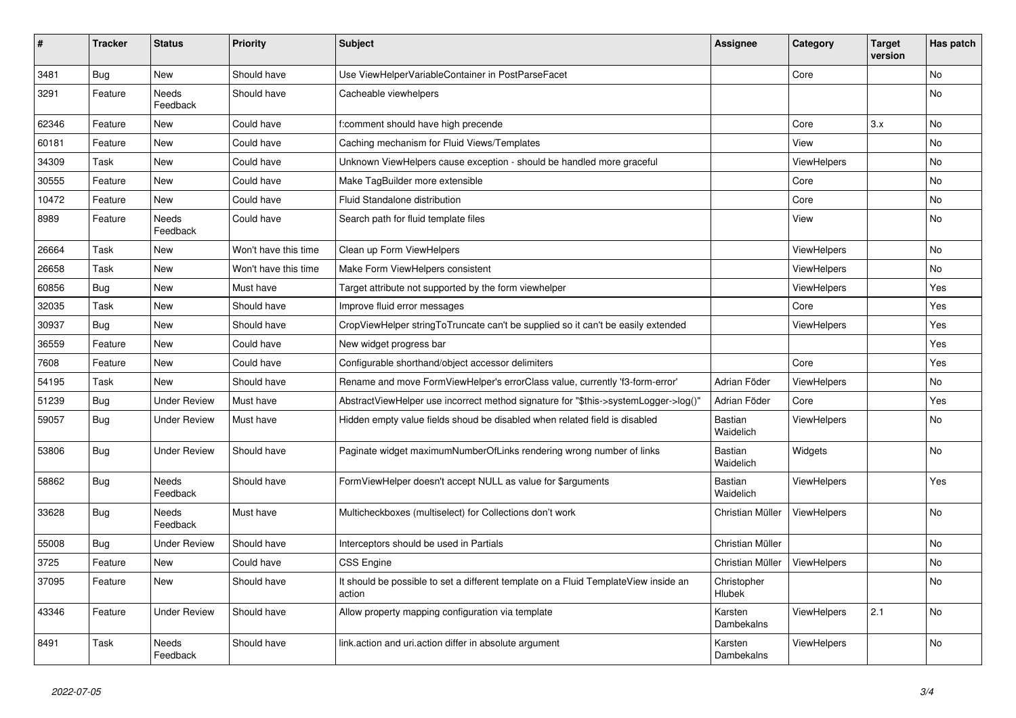| $\vert$ # | <b>Tracker</b> | <b>Status</b>       | <b>Priority</b>      | <b>Subject</b>                                                                                | <b>Assignee</b>              | Category           | <b>Target</b><br>version | Has patch |
|-----------|----------------|---------------------|----------------------|-----------------------------------------------------------------------------------------------|------------------------------|--------------------|--------------------------|-----------|
| 3481      | <b>Bug</b>     | <b>New</b>          | Should have          | Use ViewHelperVariableContainer in PostParseFacet                                             |                              | Core               |                          | <b>No</b> |
| 3291      | Feature        | Needs<br>Feedback   | Should have          | Cacheable viewhelpers                                                                         |                              |                    |                          | <b>No</b> |
| 62346     | Feature        | <b>New</b>          | Could have           | f:comment should have high precende                                                           |                              | Core               | 3.x                      | No        |
| 60181     | Feature        | New                 | Could have           | Caching mechanism for Fluid Views/Templates                                                   |                              | View               |                          | <b>No</b> |
| 34309     | Task           | New                 | Could have           | Unknown ViewHelpers cause exception - should be handled more graceful                         |                              | ViewHelpers        |                          | No        |
| 30555     | Feature        | New                 | Could have           | Make TagBuilder more extensible                                                               |                              | Core               |                          | No        |
| 10472     | Feature        | <b>New</b>          | Could have           | Fluid Standalone distribution                                                                 |                              | Core               |                          | <b>No</b> |
| 8989      | Feature        | Needs<br>Feedback   | Could have           | Search path for fluid template files                                                          |                              | View               |                          | <b>No</b> |
| 26664     | Task           | New                 | Won't have this time | Clean up Form ViewHelpers                                                                     |                              | ViewHelpers        |                          | No        |
| 26658     | Task           | New                 | Won't have this time | Make Form ViewHelpers consistent                                                              |                              | ViewHelpers        |                          | No        |
| 60856     | Bug            | New                 | Must have            | Target attribute not supported by the form viewhelper                                         |                              | ViewHelpers        |                          | Yes       |
| 32035     | Task           | New                 | Should have          | Improve fluid error messages                                                                  |                              | Core               |                          | Yes       |
| 30937     | <b>Bug</b>     | New                 | Should have          | CropViewHelper stringToTruncate can't be supplied so it can't be easily extended              |                              | <b>ViewHelpers</b> |                          | Yes       |
| 36559     | Feature        | New                 | Could have           | New widget progress bar                                                                       |                              |                    |                          | Yes       |
| 7608      | Feature        | New                 | Could have           | Configurable shorthand/object accessor delimiters                                             |                              | Core               |                          | Yes       |
| 54195     | Task           | <b>New</b>          | Should have          | Rename and move FormViewHelper's errorClass value, currently 'f3-form-error'                  | Adrian Föder                 | ViewHelpers        |                          | No        |
| 51239     | Bug            | <b>Under Review</b> | Must have            | AbstractViewHelper use incorrect method signature for "\$this->systemLogger->log()"           | Adrian Föder                 | Core               |                          | Yes       |
| 59057     | Bug            | <b>Under Review</b> | Must have            | Hidden empty value fields shoud be disabled when related field is disabled                    | <b>Bastian</b><br>Waidelich  | <b>ViewHelpers</b> |                          | <b>No</b> |
| 53806     | <b>Bug</b>     | Under Review        | Should have          | Paginate widget maximumNumberOfLinks rendering wrong number of links                          | Bastian<br>Waidelich         | Widgets            |                          | <b>No</b> |
| 58862     | <b>Bug</b>     | Needs<br>Feedback   | Should have          | FormViewHelper doesn't accept NULL as value for \$arguments                                   | Bastian<br>Waidelich         | ViewHelpers        |                          | Yes       |
| 33628     | Bug            | Needs<br>Feedback   | Must have            | Multicheckboxes (multiselect) for Collections don't work                                      | Christian Müller             | ViewHelpers        |                          | No        |
| 55008     | <b>Bug</b>     | <b>Under Review</b> | Should have          | Interceptors should be used in Partials                                                       | Christian Müller             |                    |                          | No        |
| 3725      | Feature        | New                 | Could have           | <b>CSS Engine</b>                                                                             | Christian Müller             | <b>ViewHelpers</b> |                          | No        |
| 37095     | Feature        | New                 | Should have          | It should be possible to set a different template on a Fluid TemplateView inside an<br>action | Christopher<br><b>Hlubek</b> |                    |                          | No.       |
| 43346     | Feature        | <b>Under Review</b> | Should have          | Allow property mapping configuration via template                                             | Karsten<br>Dambekalns        | <b>ViewHelpers</b> | 2.1                      | <b>No</b> |
| 8491      | Task           | Needs<br>Feedback   | Should have          | link.action and uri.action differ in absolute argument                                        | Karsten<br>Dambekalns        | <b>ViewHelpers</b> |                          | No        |